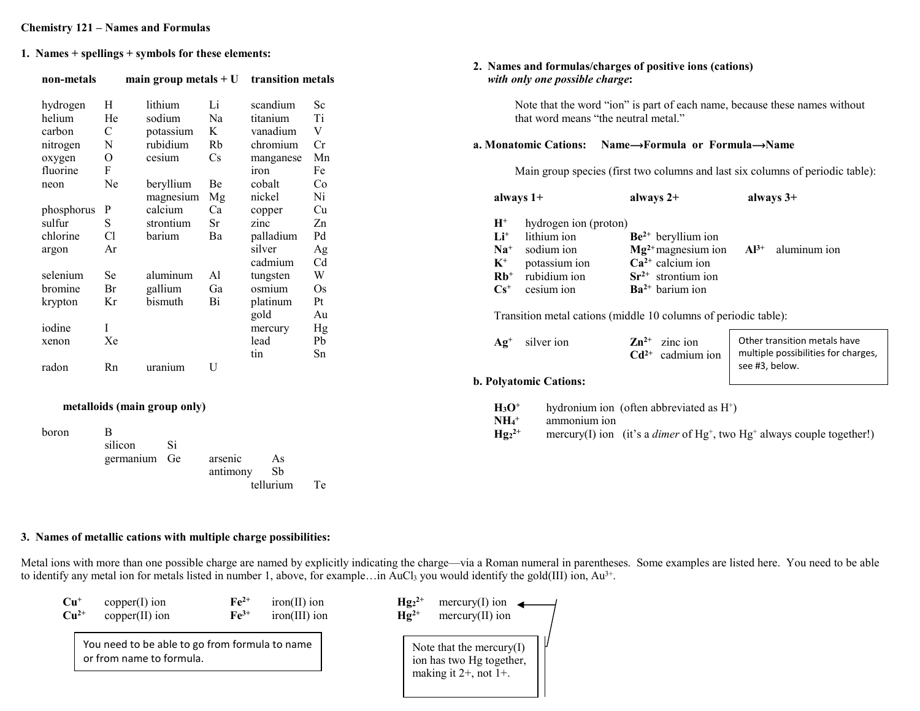#### Chemistry 121 – Names and Formulas

1. Names + spellings + symbols for these elements:

| non-metals   |              | main group metals $+U$       |             | transition metals |             |                     | with only one possible charge: | 2. Names and formulas/charges of positive ions (cations)                   |                                                                                     |
|--------------|--------------|------------------------------|-------------|-------------------|-------------|---------------------|--------------------------------|----------------------------------------------------------------------------|-------------------------------------------------------------------------------------|
| hydrogen     | H            | lithium                      | Li          | scandium          | Sc          |                     |                                | Note that the word "ion" is part of each name, because these names without |                                                                                     |
| helium       | He           | sodium                       | Na          | titanium          | Ti          |                     |                                | that word means "the neutral metal."                                       |                                                                                     |
| carbon       | ${\bf C}$    | potassium                    | K           | vanadium          | $\mathbf V$ |                     |                                |                                                                            |                                                                                     |
| nitrogen     | $\mathbf N$  | rubidium                     | Rb          | chromium          | Cr          |                     | a. Monatomic Cations:          | Name→Formula or Formula→Name                                               |                                                                                     |
| oxygen       | ${\cal O}$   | cesium                       | Cs          | manganese         | Mn          |                     |                                |                                                                            |                                                                                     |
| fluorine     | ${\bf F}$    |                              |             | iron              | Fe          |                     |                                |                                                                            | Main group species (first two columns and last six columns of periodic table):      |
| neon         | Ne           | beryllium                    | Be          | cobalt            | Co          |                     |                                |                                                                            |                                                                                     |
|              |              | magnesium Mg                 |             | nickel            | Ni          |                     | always 1+                      | always $2+$                                                                | always $3+$                                                                         |
| phosphorus P |              | calcium                      | Ca          | copper            | Cu          |                     |                                |                                                                            |                                                                                     |
| sulfur       | ${\bf S}$    | strontium                    | Sr          | zinc              | Zn          | $H^+$               | hydrogen ion (proton)          |                                                                            |                                                                                     |
| chlorine     | Cl           | barium                       | Ba          | palladium         | Pd          | $Li+$               | lithium ion                    | $Be2+$ beryllium ion                                                       |                                                                                     |
| argon        | Ar           |                              |             | silver            | Ag          | $Na+$               | sodium ion                     | $Mg2+$ magnesium ion                                                       | $Al^{3+}$<br>aluminum ion                                                           |
|              |              |                              |             | cadmium           | Cd          | $K^+$               | potassium ion                  | $Ca2+$ calcium ion                                                         |                                                                                     |
| selenium     | Se           | aluminum                     | Al          | tungsten          | W           | $Rb$ <sup>+</sup>   | rubidium ion                   | $Sr2+$ strontium ion                                                       |                                                                                     |
| bromine      | Br           | gallium                      | Ga          | osmium            | Os          | $Cs+$               | cesium ion                     | $Ba2+$ barium ion                                                          |                                                                                     |
| krypton      | Kr           | bismuth                      | Bi          | platinum          | $\rm Pt$    |                     |                                |                                                                            |                                                                                     |
|              |              |                              |             | gold              | Au          |                     |                                | Transition metal cations (middle 10 columns of periodic table):            |                                                                                     |
| iodine       |              |                              |             | mercury           | Hg          |                     |                                |                                                                            |                                                                                     |
| xenon        | Xe           |                              |             | lead              | ${\rm Pb}$  | $Ag^+$              | silver ion                     | $\mathbf{Zn}^{2+}$<br>zinc ion                                             | Other transition metals have                                                        |
|              |              |                              |             | tin               | Sn          |                     |                                | $Cd2+$<br>cadmium ion                                                      | multiple possibilities for charges,                                                 |
| radon        | Rn           | uranium                      | $\mathbf U$ |                   |             |                     |                                |                                                                            | see #3, below.                                                                      |
|              |              |                              |             |                   |             |                     | b. Polyatomic Cations:         |                                                                            |                                                                                     |
|              |              | metalloids (main group only) |             |                   |             | $H_3O^+$            |                                | hydronium ion (often abbreviated as H <sup>+</sup> )                       |                                                                                     |
|              |              |                              |             |                   |             | $NH_4$ <sup>+</sup> | ammonium ion                   |                                                                            |                                                                                     |
| boron        | $\, {\bf B}$ |                              |             |                   |             | $Hg_{2^{2+}}$       |                                |                                                                            | mercury(I) ion (it's a <i>dimer</i> of $Hg^+$ , two $Hg^+$ always couple together!) |
|              | silicon      | Si                           |             |                   |             |                     |                                |                                                                            |                                                                                     |
|              | germanium    | Ge                           | arsenic     | As                |             |                     |                                |                                                                            |                                                                                     |
|              |              |                              | antimony    | Sb                |             |                     |                                |                                                                            |                                                                                     |
|              |              |                              |             | tellurium         | Te          |                     |                                |                                                                            |                                                                                     |

# 3. Names of metallic cations with multiple charge possibilities:

Metal ions with more than one possible charge are named by explicitly indicating the charge—via a Roman numeral in parentheses. Some examples are listed here. You need to be able to identify any metal ion for metals listed in number 1, above, for example...in AuCl<sub>3</sub> you would identify the gold(III) ion,  $Au^{3+}$ .

| $Cu+$  | $copper(I)$ ion                                                            | $Fe2+$             | $iron(II)$ ion  | $Hg_{2}^{2+}$ | $\text{mercury}(I)$ ion                                                                |  |
|--------|----------------------------------------------------------------------------|--------------------|-----------------|---------------|----------------------------------------------------------------------------------------|--|
| $Cu2+$ | $copper(II)$ ion                                                           | $\mathbf{F}e^{3+}$ | $iron(III)$ ion | $Hg^{2+}$     | $mercury(II)$ ion                                                                      |  |
|        | You need to be able to go from formula to name<br>or from name to formula. |                    |                 |               | Note that the mercury $(I)$<br>ion has two Hg together,<br>making it $2+$ , not $1+$ . |  |